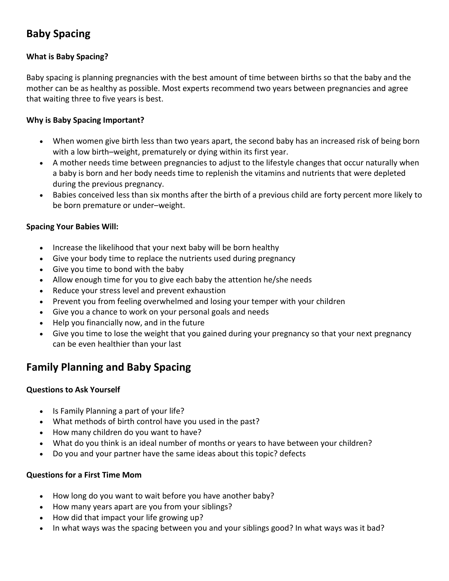# **Baby Spacing**

# **What is Baby Spacing?**

Baby spacing is planning pregnancies with the best amount of time between births so that the baby and the mother can be as healthy as possible. Most experts recommend two years between pregnancies and agree that waiting three to five years is best.

### **Why is Baby Spacing Important?**

- When women give birth less than two years apart, the second baby has an increased risk of being born with a low birth–weight, prematurely or dying within its first year.
- A mother needs time between pregnancies to adjust to the lifestyle changes that occur naturally when a baby is born and her body needs time to replenish the vitamins and nutrients that were depleted during the previous pregnancy.
- Babies conceived less than six months after the birth of a previous child are forty percent more likely to be born premature or under–weight.

#### **Spacing Your Babies Will:**

- Increase the likelihood that your next baby will be born healthy
- Give your body time to replace the nutrients used during pregnancy
- Give you time to bond with the baby
- Allow enough time for you to give each baby the attention he/she needs
- Reduce your stress level and prevent exhaustion
- Prevent you from feeling overwhelmed and losing your temper with your children
- Give you a chance to work on your personal goals and needs
- Help you financially now, and in the future
- Give you time to lose the weight that you gained during your pregnancy so that your next pregnancy can be even healthier than your last

# **Family Planning and Baby Spacing**

# **Questions to Ask Yourself**

- Is Family Planning a part of your life?
- What methods of birth control have you used in the past?
- How many children do you want to have?
- What do you think is an ideal number of months or years to have between your children?
- Do you and your partner have the same ideas about this topic? defects

# **Questions for a First Time Mom**

- How long do you want to wait before you have another baby?
- How many years apart are you from your siblings?
- How did that impact your life growing up?
- In what ways was the spacing between you and your siblings good? In what ways was it bad?